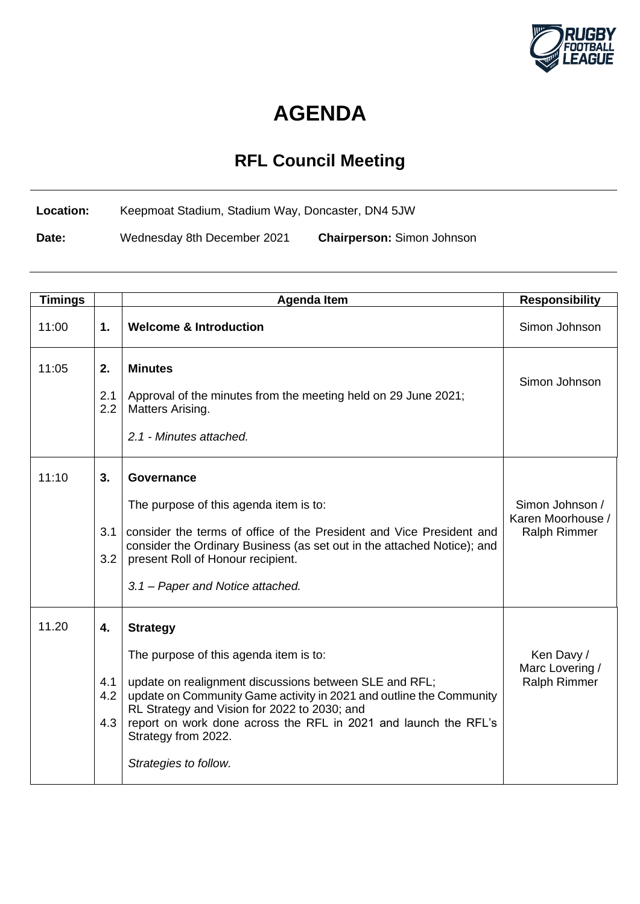

## **AGENDA**

## **RFL Council Meeting**

**Location:** Keepmoat Stadium, Stadium Way, Doncaster, DN4 5JW

**Date:** Wednesday 8th December 2021 **Chairperson:** Simon Johnson

| <b>Timings</b> |                         | <b>Agenda Item</b>                                                                                                                                                                                                                                                                                                                                            | <b>Responsibility</b>                                       |
|----------------|-------------------------|---------------------------------------------------------------------------------------------------------------------------------------------------------------------------------------------------------------------------------------------------------------------------------------------------------------------------------------------------------------|-------------------------------------------------------------|
| 11:00          | 1.                      | <b>Welcome &amp; Introduction</b>                                                                                                                                                                                                                                                                                                                             | Simon Johnson                                               |
| 11:05          | 2.<br>2.1<br>2.2        | <b>Minutes</b><br>Approval of the minutes from the meeting held on 29 June 2021;<br>Matters Arising.<br>2.1 - Minutes attached.                                                                                                                                                                                                                               | Simon Johnson                                               |
| 11:10          | 3.<br>3.1<br>3.2        | Governance<br>The purpose of this agenda item is to:<br>consider the terms of office of the President and Vice President and<br>consider the Ordinary Business (as set out in the attached Notice); and<br>present Roll of Honour recipient.<br>3.1 - Paper and Notice attached.                                                                              | Simon Johnson /<br>Karen Moorhouse /<br><b>Ralph Rimmer</b> |
| 11.20          | 4.<br>4.1<br>4.2<br>4.3 | <b>Strategy</b><br>The purpose of this agenda item is to:<br>update on realignment discussions between SLE and RFL;<br>update on Community Game activity in 2021 and outline the Community<br>RL Strategy and Vision for 2022 to 2030; and<br>report on work done across the RFL in 2021 and launch the RFL's<br>Strategy from 2022.<br>Strategies to follow. | Ken Davy /<br>Marc Lovering /<br><b>Ralph Rimmer</b>        |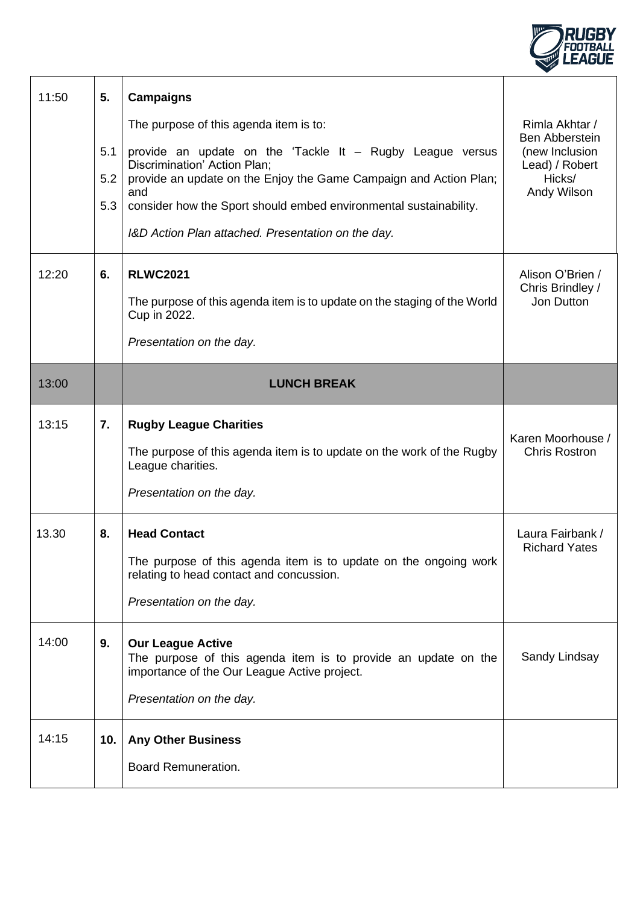

| 11:50 | 5.<br>5.1<br>5.2<br>5.3 | <b>Campaigns</b><br>The purpose of this agenda item is to:<br>provide an update on the 'Tackle It - Rugby League versus<br>Discrimination' Action Plan;<br>provide an update on the Enjoy the Game Campaign and Action Plan;<br>and<br>consider how the Sport should embed environmental sustainability.<br>I&D Action Plan attached. Presentation on the day. | Rimla Akhtar /<br><b>Ben Abberstein</b><br>(new Inclusion<br>Lead) / Robert<br>Hicks/<br>Andy Wilson |
|-------|-------------------------|----------------------------------------------------------------------------------------------------------------------------------------------------------------------------------------------------------------------------------------------------------------------------------------------------------------------------------------------------------------|------------------------------------------------------------------------------------------------------|
| 12:20 | 6.                      | <b>RLWC2021</b><br>The purpose of this agenda item is to update on the staging of the World<br>Cup in 2022.<br>Presentation on the day.                                                                                                                                                                                                                        | Alison O'Brien /<br>Chris Brindley /<br>Jon Dutton                                                   |
| 13:00 |                         | <b>LUNCH BREAK</b>                                                                                                                                                                                                                                                                                                                                             |                                                                                                      |
| 13:15 | 7.                      | <b>Rugby League Charities</b><br>The purpose of this agenda item is to update on the work of the Rugby<br>League charities.<br>Presentation on the day.                                                                                                                                                                                                        | Karen Moorhouse /<br><b>Chris Rostron</b>                                                            |
| 13.30 | 8.                      | <b>Head Contact</b><br>The purpose of this agenda item is to update on the ongoing work<br>relating to head contact and concussion.<br>Presentation on the day.                                                                                                                                                                                                | Laura Fairbank /<br><b>Richard Yates</b>                                                             |
| 14:00 | 9.                      | <b>Our League Active</b><br>The purpose of this agenda item is to provide an update on the<br>importance of the Our League Active project.<br>Presentation on the day.                                                                                                                                                                                         | Sandy Lindsay                                                                                        |
| 14:15 | 10.                     | <b>Any Other Business</b><br><b>Board Remuneration.</b>                                                                                                                                                                                                                                                                                                        |                                                                                                      |